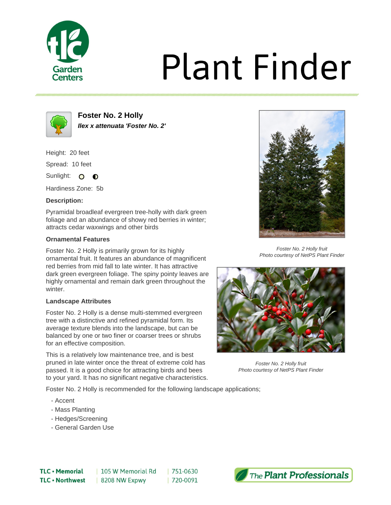

# **Plant Finder**



**Foster No. 2 Holly Ilex x attenuata 'Foster No. 2'**

Height: 20 feet

Spread: 10 feet

Sunlight: O  $\bullet$ 

Hardiness Zone: 5b

# **Description:**

Pyramidal broadleaf evergreen tree-holly with dark green foliage and an abundance of showy red berries in winter; attracts cedar waxwings and other birds

### **Ornamental Features**

Foster No. 2 Holly is primarily grown for its highly ornamental fruit. It features an abundance of magnificent red berries from mid fall to late winter. It has attractive dark green evergreen foliage. The spiny pointy leaves are highly ornamental and remain dark green throughout the winter.

### **Landscape Attributes**

Foster No. 2 Holly is a dense multi-stemmed evergreen tree with a distinctive and refined pyramidal form. Its average texture blends into the landscape, but can be balanced by one or two finer or coarser trees or shrubs for an effective composition.

This is a relatively low maintenance tree, and is best pruned in late winter once the threat of extreme cold has passed. It is a good choice for attracting birds and bees to your yard. It has no significant negative characteristics.

Foster No. 2 Holly is recommended for the following landscape applications;

- Accent
- Mass Planting
- Hedges/Screening
- General Garden Use



Foster No. 2 Holly fruit Photo courtesy of NetPS Plant Finder



Foster No. 2 Holly fruit Photo courtesy of NetPS Plant Finder